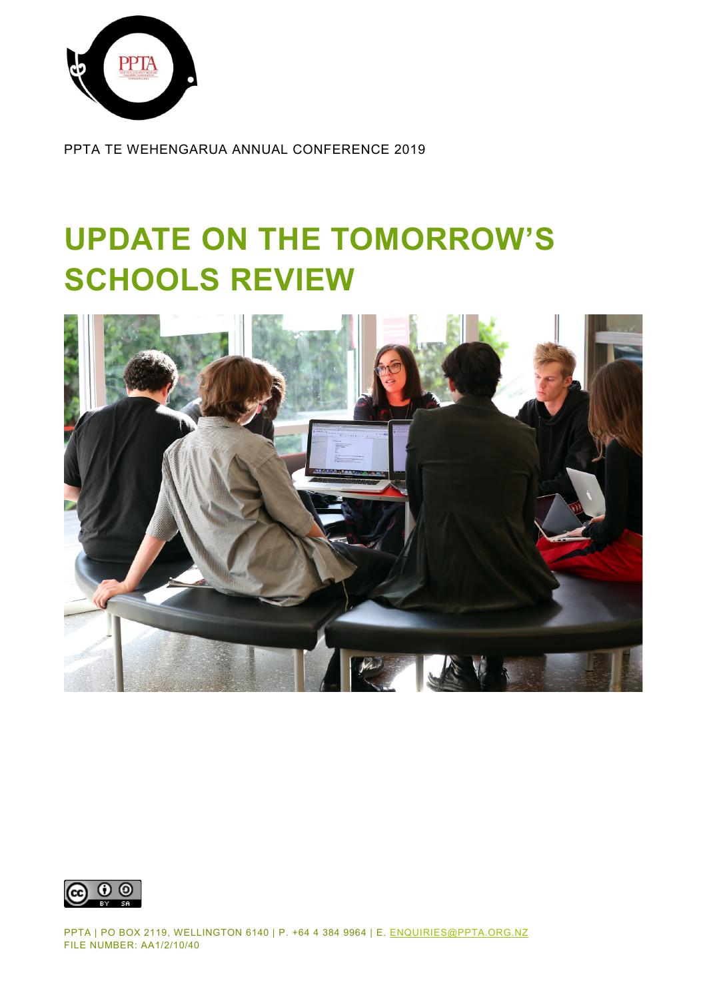

PPTA TE WEHENGARUA ANNUAL CONFERENCE 2019

# **UPDATE ON THE TOMORROW'S SCHOOLS REVIEW**





PPTA | PO BOX 2119, WELLINGTON 6140 | P. +64 4 384 9964 | E. [ENQUIRIES@PPTA.ORG.NZ](mailto:enquiries@ppta.org.nz) FILE NUMBER: AA1/2/10/40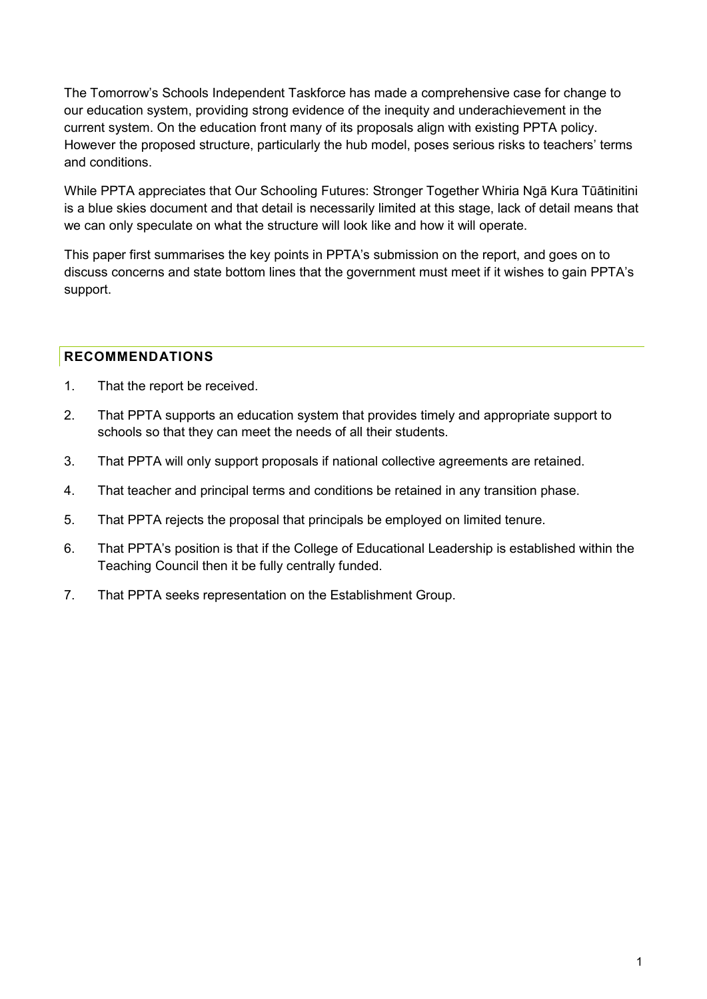The Tomorrow's Schools Independent Taskforce has made a comprehensive case for change to our education system, providing strong evidence of the inequity and underachievement in the current system. On the education front many of its proposals align with existing PPTA policy. However the proposed structure, particularly the hub model, poses serious risks to teachers' terms and conditions.

While PPTA appreciates that Our Schooling Futures: Stronger Together Whiria Ngā Kura Tūātinitini is a blue skies document and that detail is necessarily limited at this stage, lack of detail means that we can only speculate on what the structure will look like and how it will operate.

This paper first summarises the key points in PPTA's submission on the report, and goes on to discuss concerns and state bottom lines that the government must meet if it wishes to gain PPTA's support.

# <span id="page-1-0"></span>**RECOMMENDATIONS**

- 1. That the report be received.
- 2. That PPTA supports an education system that provides timely and appropriate support to schools so that they can meet the needs of all their students.
- 3. That PPTA will only support proposals if national collective agreements are retained.
- 4. That teacher and principal terms and conditions be retained in any transition phase.
- 5. That PPTA rejects the proposal that principals be employed on limited tenure.
- 6. That PPTA's position is that if the College of Educational Leadership is established within the Teaching Council then it be fully centrally funded.
- 7. That PPTA seeks representation on the Establishment Group.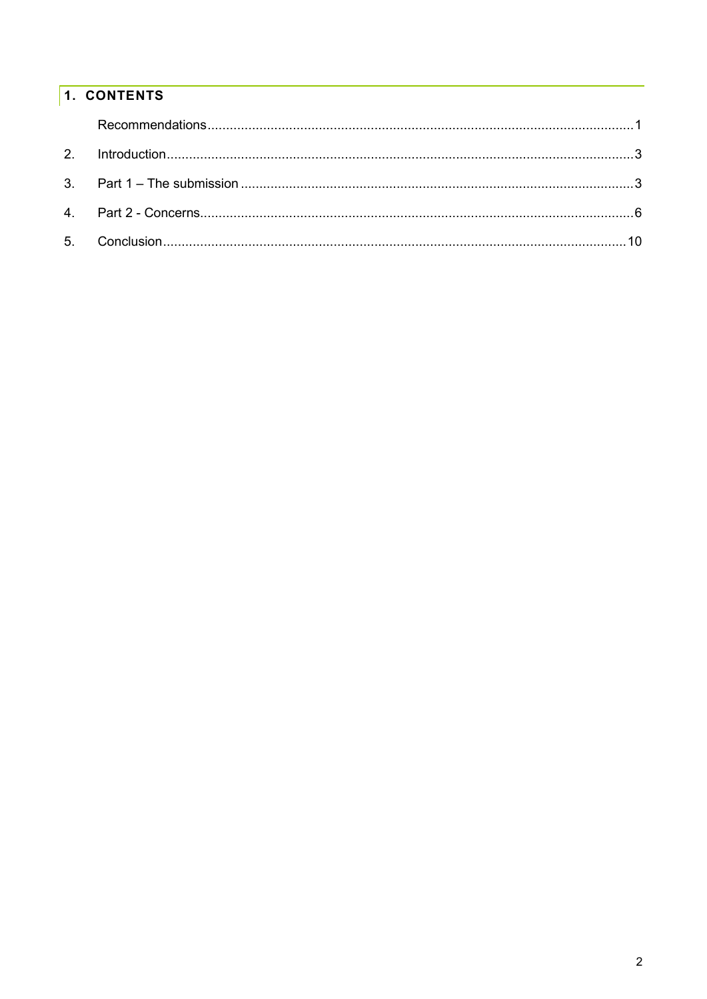# 1. CONTENTS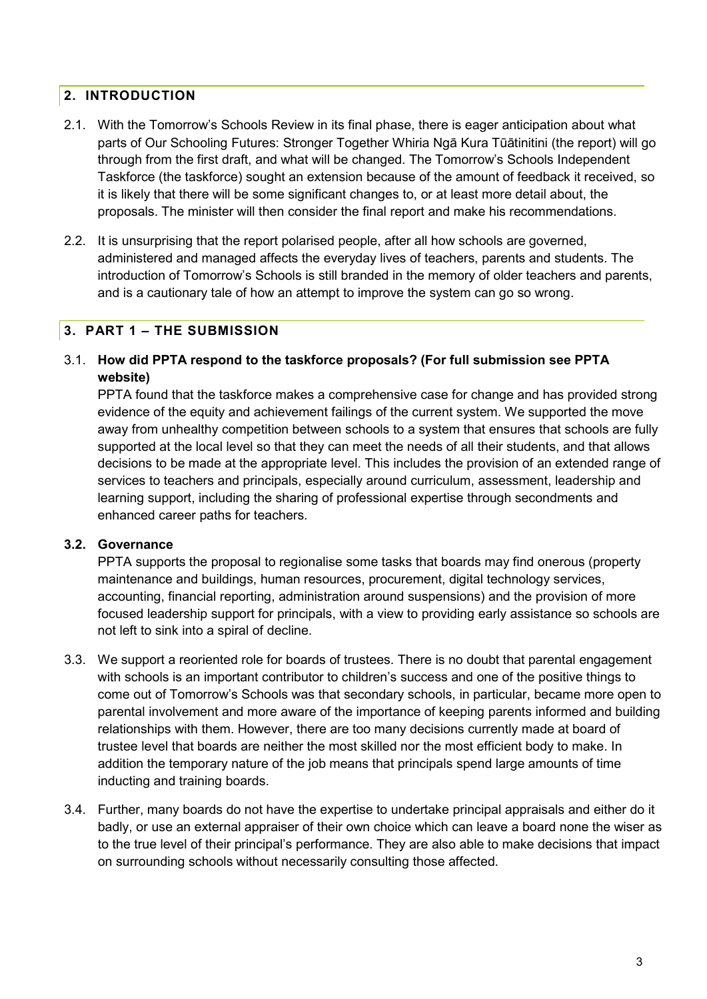# <span id="page-3-0"></span>**2. INTRODUCTION**

- 2.1. With the Tomorrow's Schools Review in its final phase, there is eager anticipation about what parts of Our Schooling Futures: Stronger Together Whiria Ngā Kura Tūātinitini (the report) will go through from the first draft, and what will be changed. The Tomorrow's Schools Independent Taskforce (the taskforce) sought an extension because of the amount of feedback it received, so it is likely that there will be some significant changes to, or at least more detail about, the proposals. The minister will then consider the final report and make his recommendations.
- 2.2. It is unsurprising that the report polarised people, after all how schools are governed, administered and managed affects the everyday lives of teachers, parents and students. The introduction of Tomorrow's Schools is still branded in the memory of older teachers and parents, and is a cautionary tale of how an attempt to improve the system can go so wrong.

### <span id="page-3-1"></span>**3. PART 1 – THE SUBMISSION**

3.1. **How did PPTA respond to the taskforce proposals? (For full submission see PPTA website)**

PPTA found that the taskforce makes a comprehensive case for change and has provided strong evidence of the equity and achievement failings of the current system. We supported the move away from unhealthy competition between schools to a system that ensures that schools are fully supported at the local level so that they can meet the needs of all their students, and that allows decisions to be made at the appropriate level. This includes the provision of an extended range of services to teachers and principals, especially around curriculum, assessment, leadership and learning support, including the sharing of professional expertise through secondments and enhanced career paths for teachers.

#### **3.2. Governance**

PPTA supports the proposal to regionalise some tasks that boards may find onerous (property maintenance and buildings, human resources, procurement, digital technology services, accounting, financial reporting, administration around suspensions) and the provision of more focused leadership support for principals, with a view to providing early assistance so schools are not left to sink into a spiral of decline.

- 3.3. We support a reoriented role for boards of trustees. There is no doubt that parental engagement with schools is an important contributor to children's success and one of the positive things to come out of Tomorrow's Schools was that secondary schools, in particular, became more open to parental involvement and more aware of the importance of keeping parents informed and building relationships with them. However, there are too many decisions currently made at board of trustee level that boards are neither the most skilled nor the most efficient body to make. In addition the temporary nature of the job means that principals spend large amounts of time inducting and training boards.
- 3.4. Further, many boards do not have the expertise to undertake principal appraisals and either do it badly, or use an external appraiser of their own choice which can leave a board none the wiser as to the true level of their principal's performance. They are also able to make decisions that impact on surrounding schools without necessarily consulting those affected.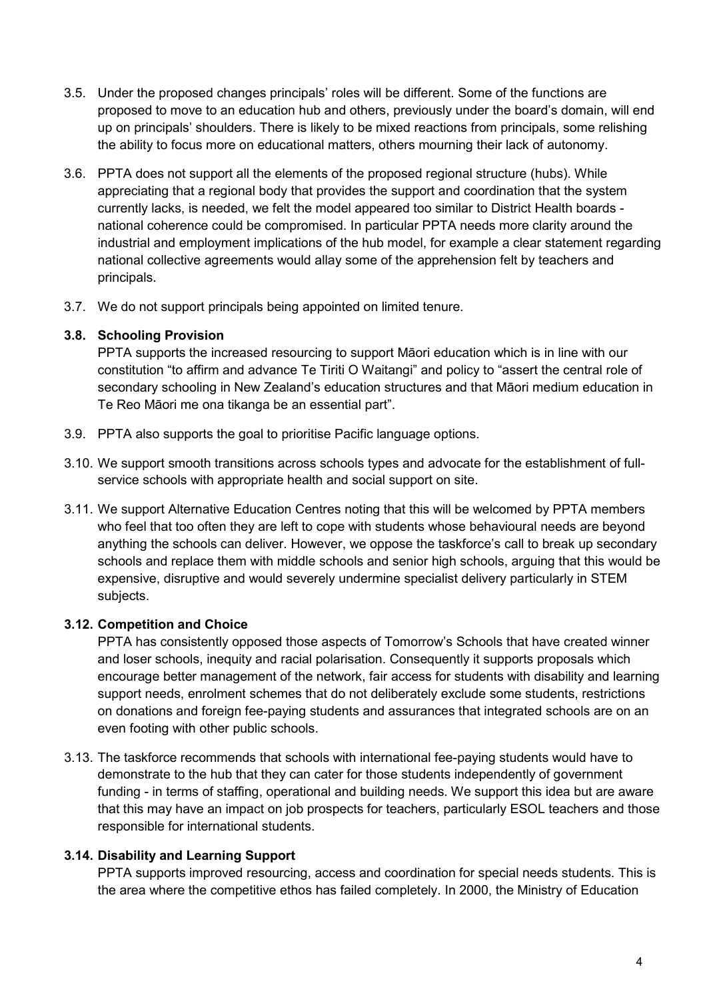- 3.5. Under the proposed changes principals' roles will be different. Some of the functions are proposed to move to an education hub and others, previously under the board's domain, will end up on principals' shoulders. There is likely to be mixed reactions from principals, some relishing the ability to focus more on educational matters, others mourning their lack of autonomy.
- 3.6. PPTA does not support all the elements of the proposed regional structure (hubs). While appreciating that a regional body that provides the support and coordination that the system currently lacks, is needed, we felt the model appeared too similar to District Health boards national coherence could be compromised. In particular PPTA needs more clarity around the industrial and employment implications of the hub model, for example a clear statement regarding national collective agreements would allay some of the apprehension felt by teachers and principals.
- 3.7. We do not support principals being appointed on limited tenure.

### **3.8. Schooling Provision**

PPTA supports the increased resourcing to support Māori education which is in line with our constitution "to affirm and advance Te Tiriti O Waitangi" and policy to "assert the central role of secondary schooling in New Zealand's education structures and that Māori medium education in Te Reo Māori me ona tikanga be an essential part".

- 3.9. PPTA also supports the goal to prioritise Pacific language options.
- 3.10. We support smooth transitions across schools types and advocate for the establishment of fullservice schools with appropriate health and social support on site.
- 3.11. We support Alternative Education Centres noting that this will be welcomed by PPTA members who feel that too often they are left to cope with students whose behavioural needs are beyond anything the schools can deliver. However, we oppose the taskforce's call to break up secondary schools and replace them with middle schools and senior high schools, arguing that this would be expensive, disruptive and would severely undermine specialist delivery particularly in STEM subjects.

### **3.12. Competition and Choice**

PPTA has consistently opposed those aspects of Tomorrow's Schools that have created winner and loser schools, inequity and racial polarisation. Consequently it supports proposals which encourage better management of the network, fair access for students with disability and learning support needs, enrolment schemes that do not deliberately exclude some students, restrictions on donations and foreign fee-paying students and assurances that integrated schools are on an even footing with other public schools.

3.13. The taskforce recommends that schools with international fee-paying students would have to demonstrate to the hub that they can cater for those students independently of government funding - in terms of staffing, operational and building needs. We support this idea but are aware that this may have an impact on job prospects for teachers, particularly ESOL teachers and those responsible for international students.

### **3.14. Disability and Learning Support**

PPTA supports improved resourcing, access and coordination for special needs students. This is the area where the competitive ethos has failed completely. In 2000, the Ministry of Education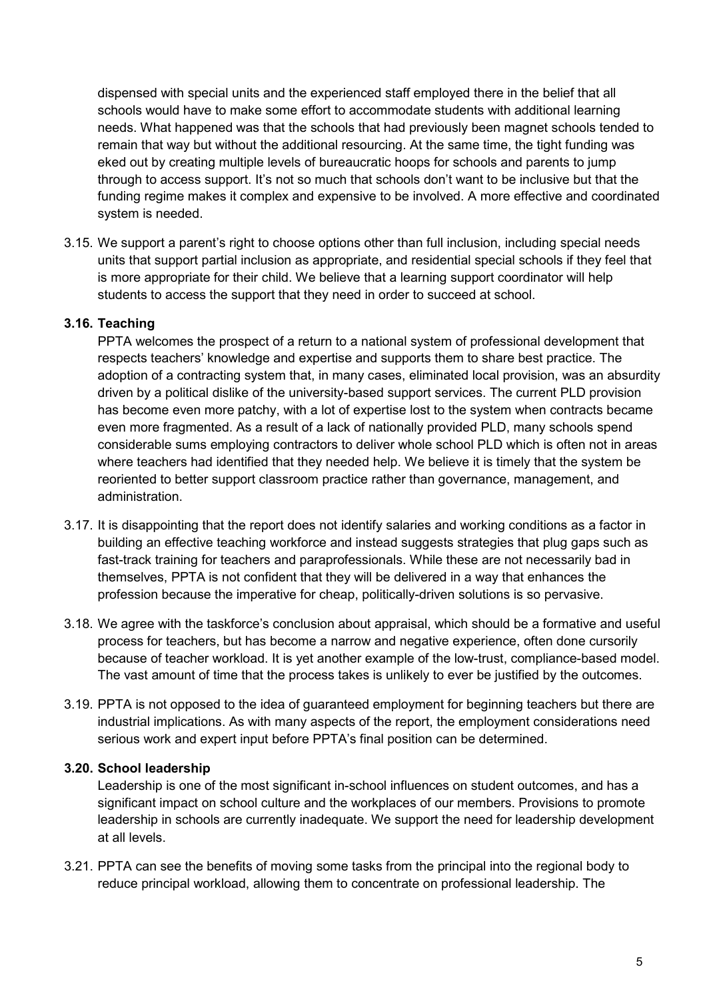dispensed with special units and the experienced staff employed there in the belief that all schools would have to make some effort to accommodate students with additional learning needs. What happened was that the schools that had previously been magnet schools tended to remain that way but without the additional resourcing. At the same time, the tight funding was eked out by creating multiple levels of bureaucratic hoops for schools and parents to jump through to access support. It's not so much that schools don't want to be inclusive but that the funding regime makes it complex and expensive to be involved. A more effective and coordinated system is needed.

3.15. We support a parent's right to choose options other than full inclusion, including special needs units that support partial inclusion as appropriate, and residential special schools if they feel that is more appropriate for their child. We believe that a learning support coordinator will help students to access the support that they need in order to succeed at school.

#### **3.16. Teaching**

PPTA welcomes the prospect of a return to a national system of professional development that respects teachers' knowledge and expertise and supports them to share best practice. The adoption of a contracting system that, in many cases, eliminated local provision, was an absurdity driven by a political dislike of the university-based support services. The current PLD provision has become even more patchy, with a lot of expertise lost to the system when contracts became even more fragmented. As a result of a lack of nationally provided PLD, many schools spend considerable sums employing contractors to deliver whole school PLD which is often not in areas where teachers had identified that they needed help. We believe it is timely that the system be reoriented to better support classroom practice rather than governance, management, and administration.

- 3.17. It is disappointing that the report does not identify salaries and working conditions as a factor in building an effective teaching workforce and instead suggests strategies that plug gaps such as fast-track training for teachers and paraprofessionals. While these are not necessarily bad in themselves, PPTA is not confident that they will be delivered in a way that enhances the profession because the imperative for cheap, politically-driven solutions is so pervasive.
- 3.18. We agree with the taskforce's conclusion about appraisal, which should be a formative and useful process for teachers, but has become a narrow and negative experience, often done cursorily because of teacher workload. It is yet another example of the low-trust, compliance-based model. The vast amount of time that the process takes is unlikely to ever be justified by the outcomes.
- 3.19. PPTA is not opposed to the idea of guaranteed employment for beginning teachers but there are industrial implications. As with many aspects of the report, the employment considerations need serious work and expert input before PPTA's final position can be determined.

#### **3.20. School leadership**

Leadership is one of the most significant in-school influences on student outcomes, and has a significant impact on school culture and the workplaces of our members. Provisions to promote leadership in schools are currently inadequate. We support the need for leadership development at all levels.

3.21. PPTA can see the benefits of moving some tasks from the principal into the regional body to reduce principal workload, allowing them to concentrate on professional leadership. The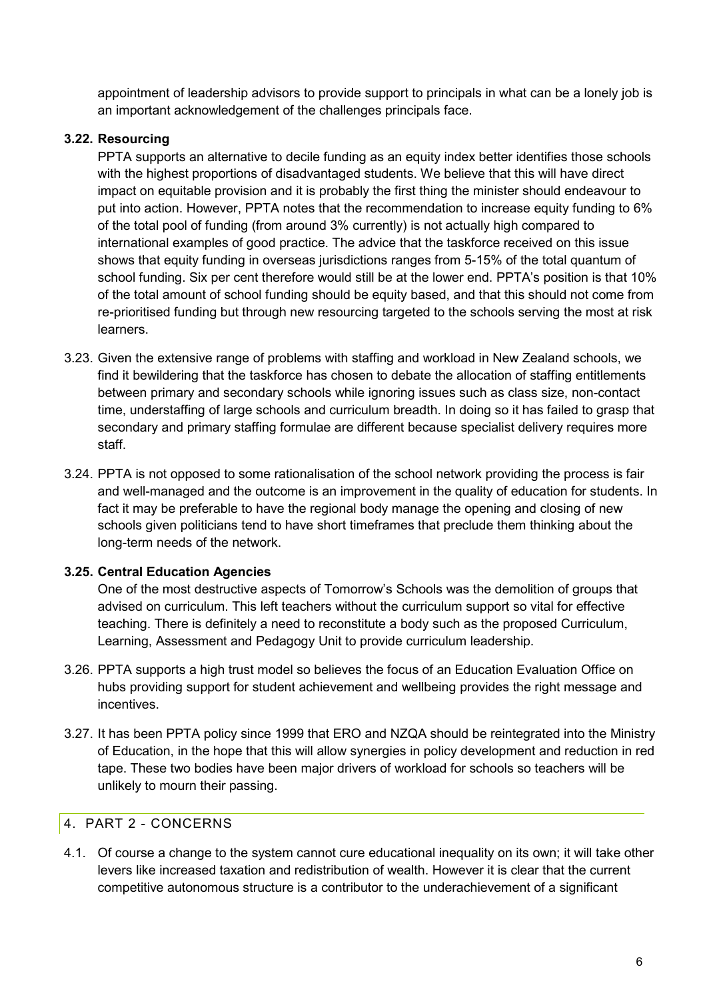appointment of leadership advisors to provide support to principals in what can be a lonely job is an important acknowledgement of the challenges principals face.

# **3.22. Resourcing**

PPTA supports an alternative to decile funding as an equity index better identifies those schools with the highest proportions of disadvantaged students. We believe that this will have direct impact on equitable provision and it is probably the first thing the minister should endeavour to put into action. However, PPTA notes that the recommendation to increase equity funding to 6% of the total pool of funding (from around 3% currently) is not actually high compared to international examples of good practice. The advice that the taskforce received on this issue shows that equity funding in overseas jurisdictions ranges from 5-15% of the total quantum of school funding. Six per cent therefore would still be at the lower end. PPTA's position is that 10% of the total amount of school funding should be equity based, and that this should not come from re-prioritised funding but through new resourcing targeted to the schools serving the most at risk learners.

- 3.23. Given the extensive range of problems with staffing and workload in New Zealand schools, we find it bewildering that the taskforce has chosen to debate the allocation of staffing entitlements between primary and secondary schools while ignoring issues such as class size, non-contact time, understaffing of large schools and curriculum breadth. In doing so it has failed to grasp that secondary and primary staffing formulae are different because specialist delivery requires more staff.
- 3.24. PPTA is not opposed to some rationalisation of the school network providing the process is fair and well-managed and the outcome is an improvement in the quality of education for students. In fact it may be preferable to have the regional body manage the opening and closing of new schools given politicians tend to have short timeframes that preclude them thinking about the long-term needs of the network.

### **3.25. Central Education Agencies**

One of the most destructive aspects of Tomorrow's Schools was the demolition of groups that advised on curriculum. This left teachers without the curriculum support so vital for effective teaching. There is definitely a need to reconstitute a body such as the proposed Curriculum, Learning, Assessment and Pedagogy Unit to provide curriculum leadership.

- 3.26. PPTA supports a high trust model so believes the focus of an Education Evaluation Office on hubs providing support for student achievement and wellbeing provides the right message and incentives.
- 3.27. It has been PPTA policy since 1999 that ERO and NZQA should be reintegrated into the Ministry of Education, in the hope that this will allow synergies in policy development and reduction in red tape. These two bodies have been major drivers of workload for schools so teachers will be unlikely to mourn their passing.

# <span id="page-6-0"></span>4. PART 2 - CONCERNS

4.1. Of course a change to the system cannot cure educational inequality on its own; it will take other levers like increased taxation and redistribution of wealth. However it is clear that the current competitive autonomous structure is a contributor to the underachievement of a significant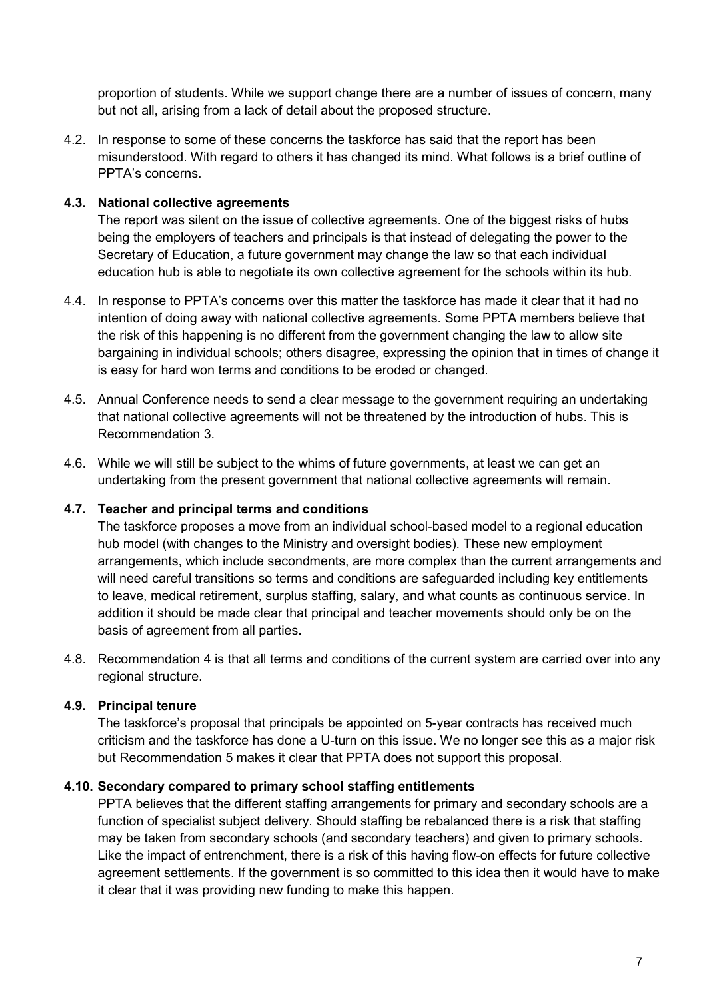proportion of students. While we support change there are a number of issues of concern, many but not all, arising from a lack of detail about the proposed structure.

4.2. In response to some of these concerns the taskforce has said that the report has been misunderstood. With regard to others it has changed its mind. What follows is a brief outline of PPTA's concerns.

#### **4.3. National collective agreements**

The report was silent on the issue of collective agreements. One of the biggest risks of hubs being the employers of teachers and principals is that instead of delegating the power to the Secretary of Education, a future government may change the law so that each individual education hub is able to negotiate its own collective agreement for the schools within its hub.

- 4.4. In response to PPTA's concerns over this matter the taskforce has made it clear that it had no intention of doing away with national collective agreements. Some PPTA members believe that the risk of this happening is no different from the government changing the law to allow site bargaining in individual schools; others disagree, expressing the opinion that in times of change it is easy for hard won terms and conditions to be eroded or changed.
- 4.5. Annual Conference needs to send a clear message to the government requiring an undertaking that national collective agreements will not be threatened by the introduction of hubs. This is Recommendation 3.
- 4.6. While we will still be subject to the whims of future governments, at least we can get an undertaking from the present government that national collective agreements will remain.

### **4.7. Teacher and principal terms and conditions**

The taskforce proposes a move from an individual school-based model to a regional education hub model (with changes to the Ministry and oversight bodies). These new employment arrangements, which include secondments, are more complex than the current arrangements and will need careful transitions so terms and conditions are safeguarded including key entitlements to leave, medical retirement, surplus staffing, salary, and what counts as continuous service. In addition it should be made clear that principal and teacher movements should only be on the basis of agreement from all parties.

4.8. Recommendation 4 is that all terms and conditions of the current system are carried over into any regional structure.

#### **4.9. Principal tenure**

The taskforce's proposal that principals be appointed on 5-year contracts has received much criticism and the taskforce has done a U-turn on this issue. We no longer see this as a major risk but Recommendation 5 makes it clear that PPTA does not support this proposal.

#### **4.10. Secondary compared to primary school staffing entitlements**

PPTA believes that the different staffing arrangements for primary and secondary schools are a function of specialist subject delivery. Should staffing be rebalanced there is a risk that staffing may be taken from secondary schools (and secondary teachers) and given to primary schools. Like the impact of entrenchment, there is a risk of this having flow-on effects for future collective agreement settlements. If the government is so committed to this idea then it would have to make it clear that it was providing new funding to make this happen.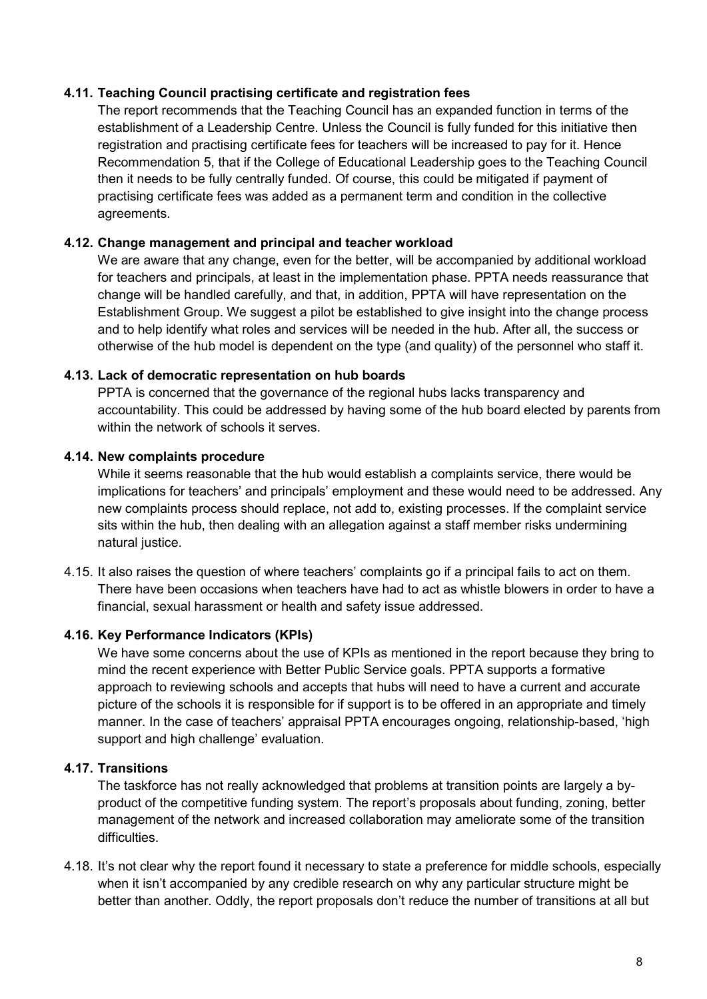#### **4.11. Teaching Council practising certificate and registration fees**

The report recommends that the Teaching Council has an expanded function in terms of the establishment of a Leadership Centre. Unless the Council is fully funded for this initiative then registration and practising certificate fees for teachers will be increased to pay for it. Hence Recommendation 5, that if the College of Educational Leadership goes to the Teaching Council then it needs to be fully centrally funded. Of course, this could be mitigated if payment of practising certificate fees was added as a permanent term and condition in the collective agreements.

#### **4.12. Change management and principal and teacher workload**

We are aware that any change, even for the better, will be accompanied by additional workload for teachers and principals, at least in the implementation phase. PPTA needs reassurance that change will be handled carefully, and that, in addition, PPTA will have representation on the Establishment Group. We suggest a pilot be established to give insight into the change process and to help identify what roles and services will be needed in the hub. After all, the success or otherwise of the hub model is dependent on the type (and quality) of the personnel who staff it.

#### **4.13. Lack of democratic representation on hub boards**

PPTA is concerned that the governance of the regional hubs lacks transparency and accountability. This could be addressed by having some of the hub board elected by parents from within the network of schools it serves.

#### **4.14. New complaints procedure**

While it seems reasonable that the hub would establish a complaints service, there would be implications for teachers' and principals' employment and these would need to be addressed. Any new complaints process should replace, not add to, existing processes. If the complaint service sits within the hub, then dealing with an allegation against a staff member risks undermining natural justice.

4.15. It also raises the question of where teachers' complaints go if a principal fails to act on them. There have been occasions when teachers have had to act as whistle blowers in order to have a financial, sexual harassment or health and safety issue addressed.

### **4.16. Key Performance Indicators (KPIs)**

We have some concerns about the use of KPIs as mentioned in the report because they bring to mind the recent experience with Better Public Service goals. PPTA supports a formative approach to reviewing schools and accepts that hubs will need to have a current and accurate picture of the schools it is responsible for if support is to be offered in an appropriate and timely manner. In the case of teachers' appraisal PPTA encourages ongoing, relationship-based, 'high support and high challenge' evaluation.

### **4.17. Transitions**

The taskforce has not really acknowledged that problems at transition points are largely a byproduct of the competitive funding system. The report's proposals about funding, zoning, better management of the network and increased collaboration may ameliorate some of the transition difficulties.

4.18. It's not clear why the report found it necessary to state a preference for middle schools, especially when it isn't accompanied by any credible research on why any particular structure might be better than another. Oddly, the report proposals don't reduce the number of transitions at all but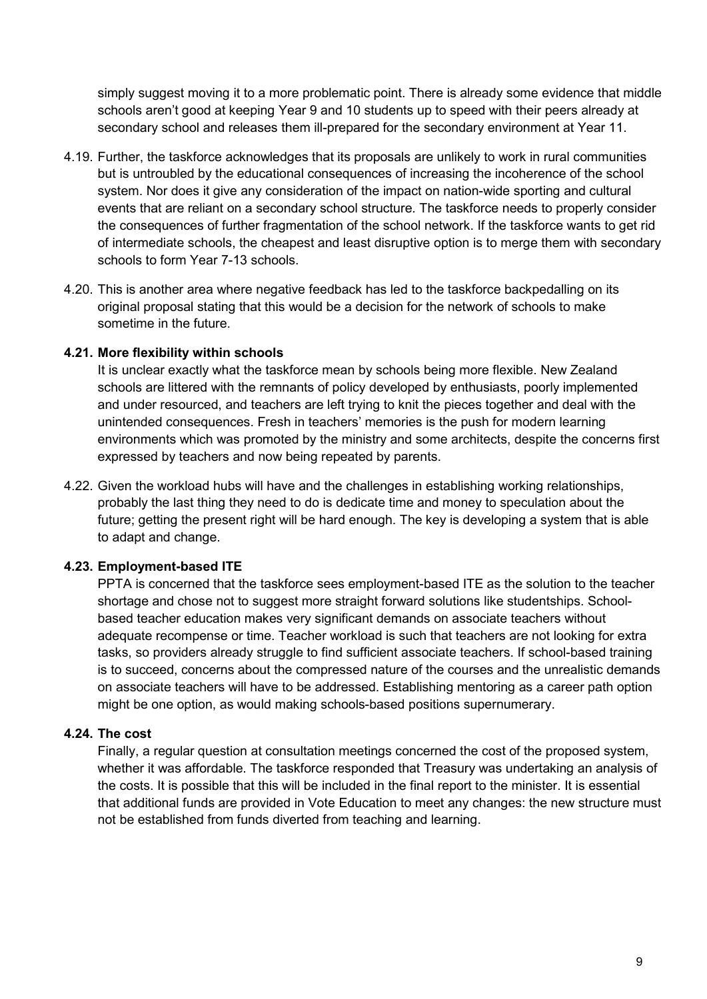simply suggest moving it to a more problematic point. There is already some evidence that middle schools aren't good at keeping Year 9 and 10 students up to speed with their peers already at secondary school and releases them ill-prepared for the secondary environment at Year 11.

- 4.19. Further, the taskforce acknowledges that its proposals are unlikely to work in rural communities but is untroubled by the educational consequences of increasing the incoherence of the school system. Nor does it give any consideration of the impact on nation-wide sporting and cultural events that are reliant on a secondary school structure. The taskforce needs to properly consider the consequences of further fragmentation of the school network. If the taskforce wants to get rid of intermediate schools, the cheapest and least disruptive option is to merge them with secondary schools to form Year 7-13 schools.
- 4.20. This is another area where negative feedback has led to the taskforce backpedalling on its original proposal stating that this would be a decision for the network of schools to make sometime in the future.

#### **4.21. More flexibility within schools**

It is unclear exactly what the taskforce mean by schools being more flexible. New Zealand schools are littered with the remnants of policy developed by enthusiasts, poorly implemented and under resourced, and teachers are left trying to knit the pieces together and deal with the unintended consequences. Fresh in teachers' memories is the push for modern learning environments which was promoted by the ministry and some architects, despite the concerns first expressed by teachers and now being repeated by parents.

4.22. Given the workload hubs will have and the challenges in establishing working relationships, probably the last thing they need to do is dedicate time and money to speculation about the future; getting the present right will be hard enough. The key is developing a system that is able to adapt and change.

#### **4.23. Employment-based ITE**

PPTA is concerned that the taskforce sees employment-based ITE as the solution to the teacher shortage and chose not to suggest more straight forward solutions like studentships. Schoolbased teacher education makes very significant demands on associate teachers without adequate recompense or time. Teacher workload is such that teachers are not looking for extra tasks, so providers already struggle to find sufficient associate teachers. If school-based training is to succeed, concerns about the compressed nature of the courses and the unrealistic demands on associate teachers will have to be addressed. Establishing mentoring as a career path option might be one option, as would making schools-based positions supernumerary.

#### **4.24. The cost**

Finally, a regular question at consultation meetings concerned the cost of the proposed system, whether it was affordable. The taskforce responded that Treasury was undertaking an analysis of the costs. It is possible that this will be included in the final report to the minister. It is essential that additional funds are provided in Vote Education to meet any changes: the new structure must not be established from funds diverted from teaching and learning.